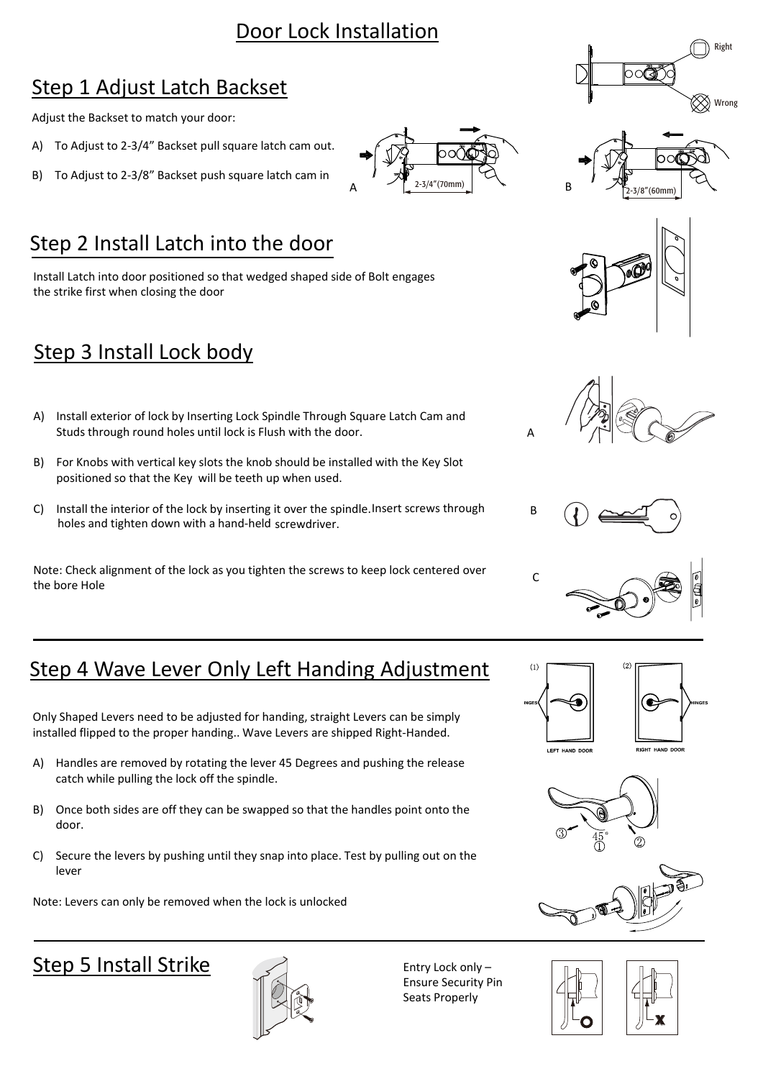#### Door Lock Installation

## Step 1 Adjust Latch Backset

Adjust the Backset to match your door:

- A) To Adjust to 2‐3/4" Backset pull square latch cam out.
- B) To Adjust to 2‐3/8" Backset push square latch cam in



# Step 2 Install Latch into the door

Install Latch into door positioned so that wedged shaped side of Bolt engages the strike first when closing the door

# Step 3 Install Lock body

- A) Install exterior of lock by Inserting Lock Spindle Through Square Latch Cam and Studs through round holes until lock is Flush with the door.
- B) For Knobs with vertical key slots the knob should be installed with the Key Slot positioned so that the Key will be teeth up when used.
- C) Install the interior of the lock by inserting it over the spindle.Insert screws through holes and tighten down with a hand‐held screwdriver.

Note: Check alignment of the lock as you tighten the screws to keep lock centered over the bore Hole













# Step 4 Wave Lever Only Left Handing Adjustment

Only Shaped Levers need to be adjusted for handing, straight Levers can be simply installed flipped to the proper handing.. Wave Levers are shipped Right‐Handed.

- A) Handles are removed by rotating the lever 45 Degrees and pushing the release catch while pulling the lock off the spindle.
- B) Once both sides are off they can be swapped so that the handles point onto the door.
- C) Secure the levers by pushing until they snap into place. Test by pulling out on the lever

Note: Levers can only be removed when the lock is unlocked







# Step 5 Install Strike Entry Lock only –



Ensure Security Pin Seats Properly